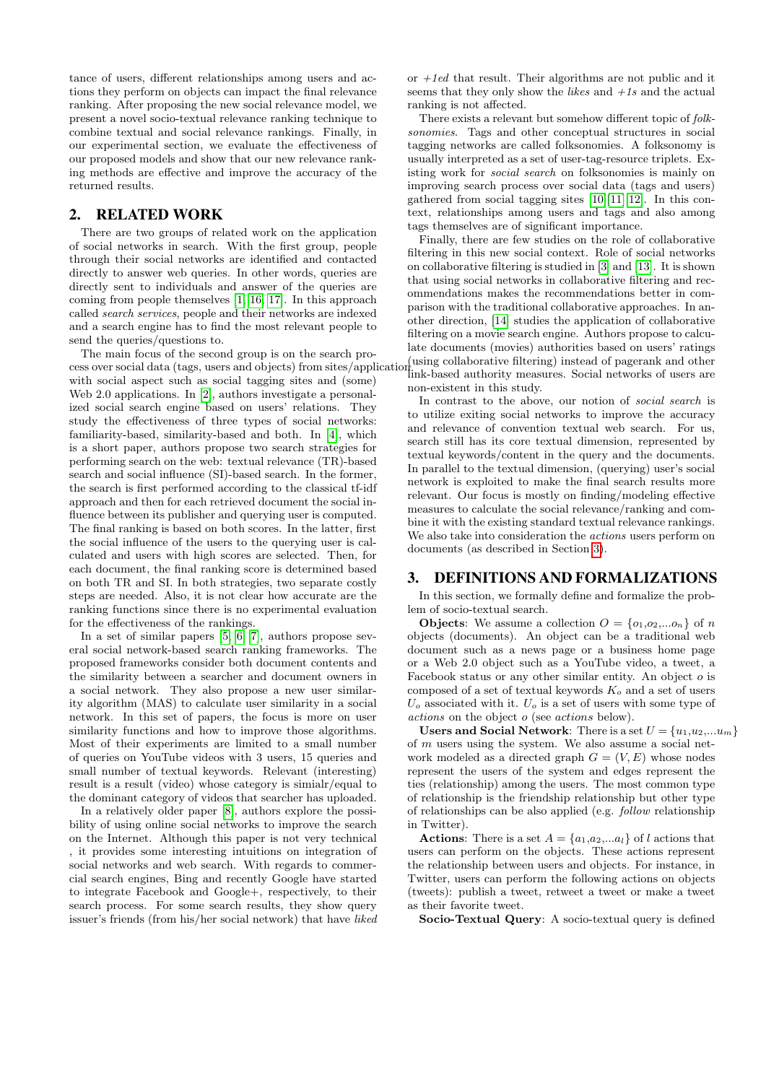tance of users, different relationships among users and actions they perform on objects can impact the final relevance ranking. After proposing the new social relevance model, we present a novel socio-textual relevance ranking technique to combine textual and social relevance rankings. Finally, in our experimental section, we evaluate the effectiveness of our proposed models and show that our new relevance ranking methods are effective and improve the accuracy of the returned results.

## 2. RELATED WORK

There are two groups of related work on the application of social networks in search. With the first group, people through their social networks are identified and contacted directly to answer web queries. In other words, queries are directly sent to individuals and answer of the queries are coming from people themselves [\[1,](#page-5-0) [16,](#page-5-1) [17\]](#page-5-2). In this approach called search services, people and their networks are indexed and a search engine has to find the most relevant people to send the queries/questions to.

The main focus of the second group is on the search process over social data (tags, users and objects) from sites/application with social aspect such as social tagging sites and (some) Web 2.0 applications. In [\[2\]](#page-5-3), authors investigate a personalized social search engine based on users' relations. They study the effectiveness of three types of social networks: familiarity-based, similarity-based and both. In [\[4\]](#page-5-4), which is a short paper, authors propose two search strategies for performing search on the web: textual relevance (TR)-based search and social influence (SI)-based search. In the former, the search is first performed according to the classical tf-idf approach and then for each retrieved document the social influence between its publisher and querying user is computed. The final ranking is based on both scores. In the latter, first the social influence of the users to the querying user is calculated and users with high scores are selected. Then, for each document, the final ranking score is determined based on both TR and SI. In both strategies, two separate costly steps are needed. Also, it is not clear how accurate are the ranking functions since there is no experimental evaluation for the effectiveness of the rankings.

In a set of similar papers [\[5,](#page-5-5) [6,](#page-5-6) [7\]](#page-5-7), authors propose several social network-based search ranking frameworks. The proposed frameworks consider both document contents and the similarity between a searcher and document owners in a social network. They also propose a new user similarity algorithm (MAS) to calculate user similarity in a social network. In this set of papers, the focus is more on user similarity functions and how to improve those algorithms. Most of their experiments are limited to a small number of queries on YouTube videos with 3 users, 15 queries and small number of textual keywords. Relevant (interesting) result is a result (video) whose category is simialr/equal to the dominant category of videos that searcher has uploaded.

In a relatively older paper [\[8\]](#page-5-8), authors explore the possibility of using online social networks to improve the search on the Internet. Although this paper is not very technical , it provides some interesting intuitions on integration of social networks and web search. With regards to commercial search engines, Bing and recently Google have started to integrate Facebook and Google+, respectively, to their search process. For some search results, they show query issuer's friends (from his/her social network) that have liked or  $+1ed$  that result. Their algorithms are not public and it seems that they only show the *likes* and  $+1s$  and the actual ranking is not affected.

There exists a relevant but somehow different topic of folksonomies. Tags and other conceptual structures in social tagging networks are called folksonomies. A folksonomy is usually interpreted as a set of user-tag-resource triplets. Existing work for social search on folksonomies is mainly on improving search process over social data (tags and users) gathered from social tagging sites  $[10][11][12]$  $[10][11][12]$  $[10][11][12]$ . In this context, relationships among users and tags and also among tags themselves are of significant importance.

Finally, there are few studies on the role of collaborative filtering in this new social context. Role of social networks on collaborative filtering is studied in [\[3\]](#page-5-12) and [\[13\]](#page-5-13). It is shown that using social networks in collaborative filtering and recommendations makes the recommendations better in comparison with the traditional collaborative approaches. In another direction, [\[14\]](#page-5-14) studies the application of collaborative filtering on a movie search engine. Authors propose to calculate documents (movies) authorities based on users' ratings (using collaborative filtering) instead of pagerank and other link-based authority measures. Social networks of users are

non-existent in this study.

In contrast to the above, our notion of social search is to utilize exiting social networks to improve the accuracy and relevance of convention textual web search. For us, search still has its core textual dimension, represented by textual keywords/content in the query and the documents. In parallel to the textual dimension, (querying) user's social network is exploited to make the final search results more relevant. Our focus is mostly on finding/modeling effective measures to calculate the social relevance/ranking and combine it with the existing standard textual relevance rankings. We also take into consideration the actions users perform on documents (as described in Section [3\)](#page-1-0).

### <span id="page-1-0"></span>3. DEFINITIONS AND FORMALIZATIONS

In this section, we formally define and formalize the problem of socio-textual search.

**Objects:** We assume a collection  $O = \{o_1, o_2, \ldots, o_n\}$  of n objects (documents). An object can be a traditional web document such as a news page or a business home page or a Web 2.0 object such as a YouTube video, a tweet, a Facebook status or any other similar entity. An object o is composed of a set of textual keywords  $K_o$  and a set of users  $U<sub>o</sub>$  associated with it.  $U<sub>o</sub>$  is a set of users with some type of actions on the object o (see actions below).

Users and Social Network: There is a set  $U = \{u_1, u_2, \ldots u_m\}$ of m users using the system. We also assume a social network modeled as a directed graph  $G = (V, E)$  whose nodes represent the users of the system and edges represent the ties (relationship) among the users. The most common type of relationship is the friendship relationship but other type of relationships can be also applied (e.g. follow relationship in Twitter).

**Actions:** There is a set  $A = \{a_1, a_2, \ldots a_l\}$  of l actions that users can perform on the objects. These actions represent the relationship between users and objects. For instance, in Twitter, users can perform the following actions on objects (tweets): publish a tweet, retweet a tweet or make a tweet as their favorite tweet.

Socio-Textual Query: A socio-textual query is defined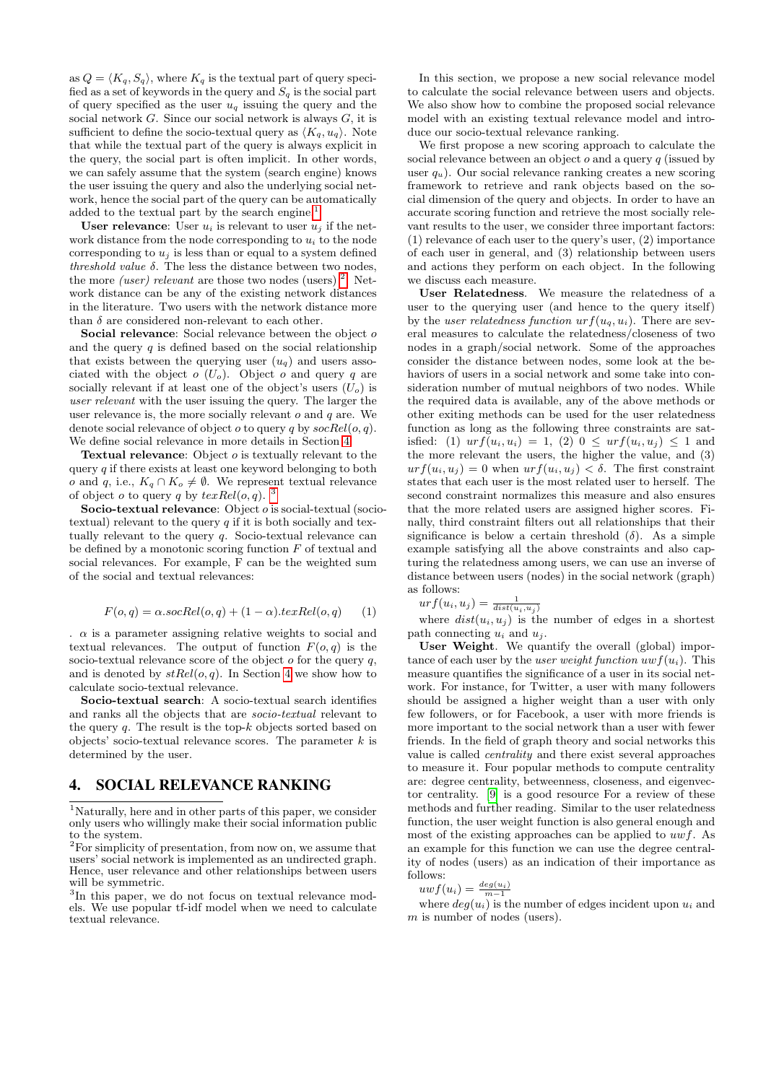as  $Q = \langle K_q, S_q \rangle$ , where  $K_q$  is the textual part of query specified as a set of keywords in the query and  $S_q$  is the social part of query specified as the user  $u_q$  issuing the query and the social network  $G$ . Since our social network is always  $G$ , it is sufficient to define the socio-textual query as  $\langle K_q, u_q \rangle$ . Note that while the textual part of the query is always explicit in the query, the social part is often implicit. In other words, we can safely assume that the system (search engine) knows the user issuing the query and also the underlying social network, hence the social part of the query can be automatically added to the textual part by the search engine.<sup>[1](#page-2-0)</sup>

User relevance: User  $u_i$  is relevant to user  $u_i$  if the network distance from the node corresponding to  $u_i$  to the node corresponding to  $u_i$  is less than or equal to a system defined threshold value  $\delta$ . The less the distance between two nodes, the more *(user)* relevant are those two nodes (users)<sup>[2](#page-2-1)</sup>. Network distance can be any of the existing network distances in the literature. Two users with the network distance more than  $\delta$  are considered non-relevant to each other.

Social relevance: Social relevance between the object of and the query  $q$  is defined based on the social relationship that exists between the querying user  $(u_q)$  and users associated with the object  $o(U_o)$ . Object  $o$  and query  $q$  are socially relevant if at least one of the object's users  $(U_o)$  is user relevant with the user issuing the query. The larger the user relevance is, the more socially relevant  $o$  and  $q$  are. We denote social relevance of object  $o$  to query  $q$  by  $\mathit{socRel}(o, q)$ . We define social relevance in more details in Section [4.](#page-2-2)

Textual relevance: Object o is textually relevant to the query  $q$  if there exists at least one keyword belonging to both o and q, i.e.,  $K_q \cap K_o \neq \emptyset$ . We represent textual relevance of object *o* to query *q* by  $textRel(o, q)$ . <sup>[3](#page-2-3)</sup>

Socio-textual relevance: Object *o* is social-textual (sociotextual) relevant to the query  $q$  if it is both socially and textually relevant to the query  $q$ . Socio-textual relevance can be defined by a monotonic scoring function  $F$  of textual and social relevances. For example, F can be the weighted sum of the social and textual relevances:

$$
F(o,q) = \alpha \cdot \text{socRel}(o,q) + (1 - \alpha) \cdot \text{texRel}(o,q) \tag{1}
$$

 $\alpha$  is a parameter assigning relative weights to social and textual relevances. The output of function  $F(o,q)$  is the socio-textual relevance score of the object  $o$  for the query  $q$ , and is denoted by  $stRel(o, q)$ . In Section [4](#page-2-2) we show how to calculate socio-textual relevance.

Socio-textual search: A socio-textual search identifies and ranks all the objects that are socio-textual relevant to the query  $q$ . The result is the top- $k$  objects sorted based on objects' socio-textual relevance scores. The parameter  $k$  is determined by the user.

# <span id="page-2-2"></span>4. SOCIAL RELEVANCE RANKING

<span id="page-2-0"></span><sup>1</sup>Naturally, here and in other parts of this paper, we consider only users who willingly make their social information public to the system.

<span id="page-2-1"></span><sup>2</sup>For simplicity of presentation, from now on, we assume that users' social network is implemented as an undirected graph. Hence, user relevance and other relationships between users will be symmetric.

<span id="page-2-3"></span><sup>3</sup>In this paper, we do not focus on textual relevance models. We use popular tf-idf model when we need to calculate textual relevance.

In this section, we propose a new social relevance model to calculate the social relevance between users and objects. We also show how to combine the proposed social relevance model with an existing textual relevance model and introduce our socio-textual relevance ranking.

We first propose a new scoring approach to calculate the social relevance between an object  $o$  and a query  $q$  (issued by user  $q_u$ ). Our social relevance ranking creates a new scoring framework to retrieve and rank objects based on the social dimension of the query and objects. In order to have an accurate scoring function and retrieve the most socially relevant results to the user, we consider three important factors: (1) relevance of each user to the query's user, (2) importance of each user in general, and (3) relationship between users and actions they perform on each object. In the following we discuss each measure.

User Relatedness. We measure the relatedness of a user to the querying user (and hence to the query itself) by the user relatedness function  $urf(u_q, u_i)$ . There are several measures to calculate the relatedness/closeness of two nodes in a graph/social network. Some of the approaches consider the distance between nodes, some look at the behaviors of users in a social network and some take into consideration number of mutual neighbors of two nodes. While the required data is available, any of the above methods or other exiting methods can be used for the user relatedness function as long as the following three constraints are satisfied: (1)  $urf(u_i, u_i) = 1$ , (2)  $0 \leq urf(u_i, u_j) \leq 1$  and the more relevant the users, the higher the value, and (3)  $urf(u_i, u_j) = 0$  when  $urf(u_i, u_j) < \delta$ . The first constraint states that each user is the most related user to herself. The second constraint normalizes this measure and also ensures that the more related users are assigned higher scores. Finally, third constraint filters out all relationships that their significance is below a certain threshold  $(\delta)$ . As a simple example satisfying all the above constraints and also capturing the relatedness among users, we can use an inverse of distance between users (nodes) in the social network (graph) as follows:

$$
urf(u_i, u_j) = \frac{1}{dist(u_i, u_j)}
$$

where  $dist(u_i, u_j)$  is the number of edges in a shortest path connecting  $u_i$  and  $u_j$ .

User Weight. We quantify the overall (global) importance of each user by the *user weight function uwf(u<sub>i</sub>)*. This measure quantifies the significance of a user in its social network. For instance, for Twitter, a user with many followers should be assigned a higher weight than a user with only few followers, or for Facebook, a user with more friends is more important to the social network than a user with fewer friends. In the field of graph theory and social networks this value is called centrality and there exist several approaches to measure it. Four popular methods to compute centrality are: degree centrality, betweenness, closeness, and eigenvector centrality. [\[9\]](#page-5-15) is a good resource For a review of these methods and further reading. Similar to the user relatedness function, the user weight function is also general enough and most of the existing approaches can be applied to  $uwf$ . As an example for this function we can use the degree centrality of nodes (users) as an indication of their importance as follows:

 $uwf(u_i) = \frac{deg(u_i)}{m-1}$ 

where  $deg(u_i)$  is the number of edges incident upon  $u_i$  and  $m$  is number of nodes (users).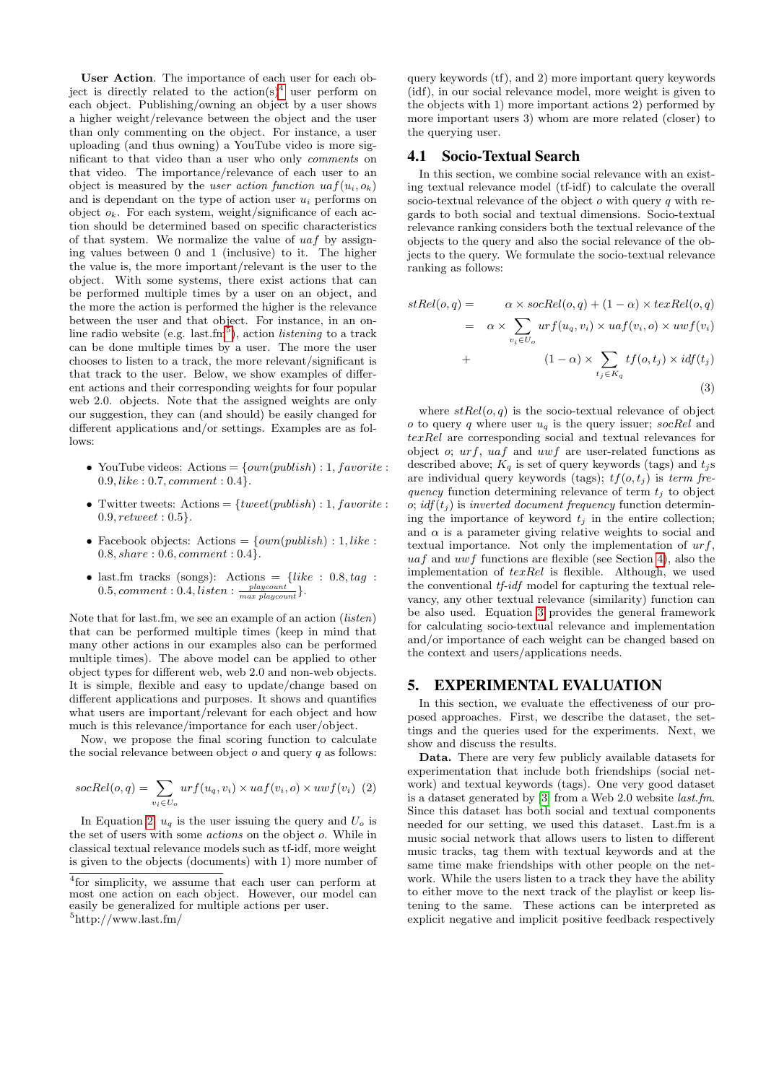User Action. The importance of each user for each object is directly related to the  $\arctan(s)^4$  $\arctan(s)^4$  user perform on each object. Publishing/owning an object by a user shows a higher weight/relevance between the object and the user than only commenting on the object. For instance, a user uploading (and thus owning) a YouTube video is more significant to that video than a user who only comments on that video. The importance/relevance of each user to an object is measured by the *user action function*  $uaf(u_i, o_k)$ and is dependant on the type of action user  $u_i$  performs on object  $o_k$ . For each system, weight/significance of each action should be determined based on specific characteristics of that system. We normalize the value of  $uaf$  by assigning values between 0 and 1 (inclusive) to it. The higher the value is, the more important/relevant is the user to the object. With some systems, there exist actions that can be performed multiple times by a user on an object, and the more the action is performed the higher is the relevance between the user and that object. For instance, in an online radio website (e.g.  $last.cm<sup>5</sup>$  $last.cm<sup>5</sup>$  $last.cm<sup>5</sup>$ ), action *listening* to a track can be done multiple times by a user. The more the user chooses to listen to a track, the more relevant/significant is that track to the user. Below, we show examples of different actions and their corresponding weights for four popular web 2.0. objects. Note that the assigned weights are only our suggestion, they can (and should) be easily changed for different applications and/or settings. Examples are as follows:

- YouTube videos: Actions =  $\{own(public h) : 1, favorite :$  $0.9, like: 0.7, comment: 0.4$ .
- Twitter tweets: Actions =  ${tweet(publish): 1, favorite:}$ 0.9, retweet : 0.5}.
- Facebook objects: Actions =  $\{own(public h) : 1, like :$  $0.8, share: 0.6, comment: 0.4\}.$
- last.fm tracks (songs): Actions =  $\{like : 0.8, tag :$  $0.5, comment: 0.4, listen: \frac{player}{max\,player}\}.$

Note that for last.fm, we see an example of an action (*listen*) that can be performed multiple times (keep in mind that many other actions in our examples also can be performed multiple times). The above model can be applied to other object types for different web, web 2.0 and non-web objects. It is simple, flexible and easy to update/change based on different applications and purposes. It shows and quantifies what users are important/relevant for each object and how much is this relevance/importance for each user/object.

Now, we propose the final scoring function to calculate the social relevance between object  $o$  and query  $q$  as follows:

<span id="page-3-2"></span>
$$
socRel(o, q) = \sum_{v_i \in U_o}urf(u_q, v_i) \times uaf(v_i, o) \times uwf(v_i) \tag{2}
$$

In Equation [2,](#page-3-2)  $u_q$  is the user issuing the query and  $U_o$  is the set of users with some actions on the object o. While in classical textual relevance models such as tf-idf, more weight is given to the objects (documents) with 1) more number of

query keywords (tf), and 2) more important query keywords (idf), in our social relevance model, more weight is given to the objects with 1) more important actions 2) performed by more important users 3) whom are more related (closer) to the querying user.

#### <span id="page-3-4"></span>4.1 Socio-Textual Search

In this section, we combine social relevance with an existing textual relevance model (tf-idf) to calculate the overall socio-textual relevance of the object  $o$  with query  $q$  with regards to both social and textual dimensions. Socio-textual relevance ranking considers both the textual relevance of the objects to the query and also the social relevance of the objects to the query. We formulate the socio-textual relevance ranking as follows:

$$
stRel(o,q) = \alpha \times \text{socRel}(o,q) + (1 - \alpha) \times \text{texRel}(o,q)
$$
  

$$
= \alpha \times \sum_{v_i \in U_o} \text{urf}(u_q, v_i) \times \text{uaf}(v_i, o) \times \text{uwf}(v_i)
$$
  

$$
+ \qquad (1 - \alpha) \times \sum_{t_j \in K_q} \text{tf}(o, t_j) \times \text{idf}(t_j)
$$

<span id="page-3-3"></span>
$$
- (3)
$$

where  $stRel(o, q)$  is the socio-textual relevance of object o to query q where user  $u_q$  is the query issuer; socRel and texRel are corresponding social and textual relevances for object o;  $urf$ ,  $uaf$  and  $uwf$  are user-related functions as described above;  $K_q$  is set of query keywords (tags) and  $t_j$ s are individual query keywords (tags);  $tf(o, t_j)$  is term frequency function determining relevance of term  $t_j$  to object o; idf $(t_j)$  is inverted document frequency function determining the importance of keyword  $t_i$  in the entire collection; and  $\alpha$  is a parameter giving relative weights to social and textual importance. Not only the implementation of  $urf$ ,  $uaf$  and  $uwf$  functions are flexible (see Section [4\)](#page-2-2), also the implementation of  $textRel$  is flexible. Although, we used the conventional *tf-idf* model for capturing the textual relevancy, any other textual relevance (similarity) function can be also used. Equation [3](#page-3-3) provides the general framework for calculating socio-textual relevance and implementation and/or importance of each weight can be changed based on the context and users/applications needs.

### 5. EXPERIMENTAL EVALUATION

In this section, we evaluate the effectiveness of our proposed approaches. First, we describe the dataset, the settings and the queries used for the experiments. Next, we show and discuss the results.

Data. There are very few publicly available datasets for experimentation that include both friendships (social network) and textual keywords (tags). One very good dataset is a dataset generated by [\[3\]](#page-5-12) from a Web 2.0 website last.fm. Since this dataset has both social and textual components needed for our setting, we used this dataset. Last.fm is a music social network that allows users to listen to different music tracks, tag them with textual keywords and at the same time make friendships with other people on the network. While the users listen to a track they have the ability to either move to the next track of the playlist or keep listening to the same. These actions can be interpreted as explicit negative and implicit positive feedback respectively

<span id="page-3-1"></span><span id="page-3-0"></span><sup>4</sup> for simplicity, we assume that each user can perform at most one action on each object. However, our model can easily be generalized for multiple actions per user.  $5$ http://www.last.fm/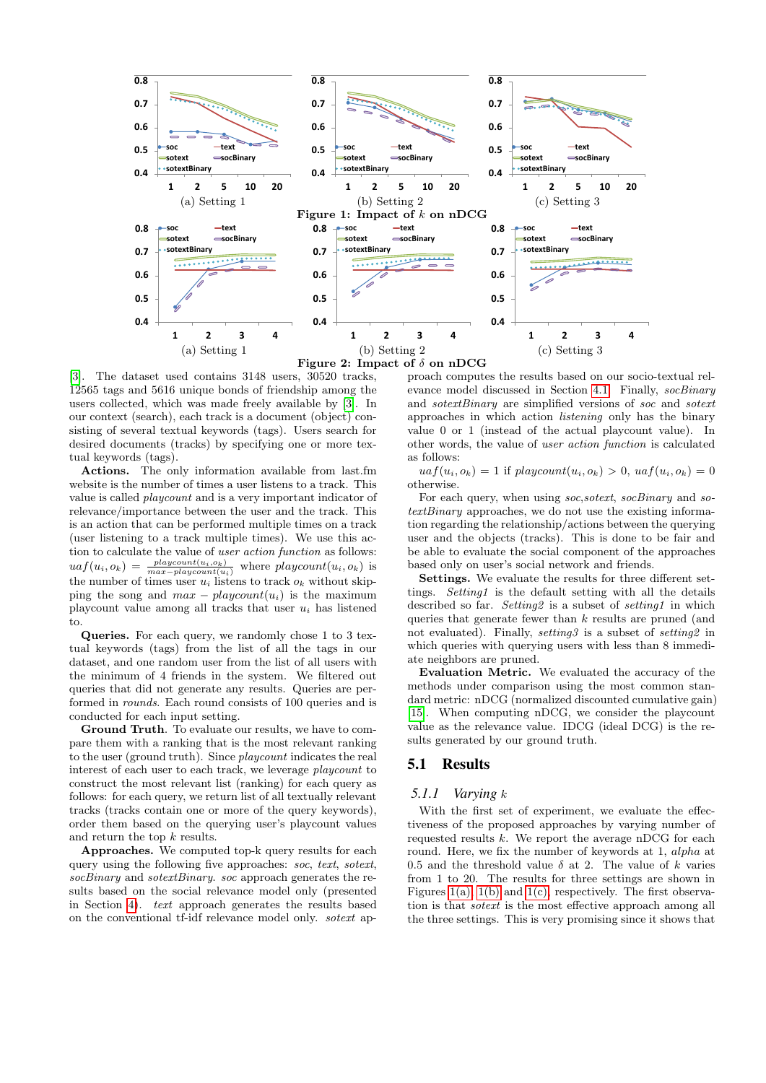<span id="page-4-0"></span>

<span id="page-4-3"></span>[\[3\]](#page-5-12). The dataset used contains 3148 users, 30520 tracks, 12565 tags and 5616 unique bonds of friendship among the users collected, which was made freely available by [\[3\]](#page-5-12). In our context (search), each track is a document (object) consisting of several textual keywords (tags). Users search for desired documents (tracks) by specifying one or more textual keywords (tags).

Actions. The only information available from last.fm website is the number of times a user listens to a track. This value is called playcount and is a very important indicator of relevance/importance between the user and the track. This is an action that can be performed multiple times on a track (user listening to a track multiple times). We use this action to calculate the value of user action function as follows:  $uaf(u_i, o_k) = \frac{playcount(u_i, o_k)}{max-playcount(u_i)}$  where  $playcount(u_i, o_k)$  is the number of times user  $u_i$  listens to track  $o_k$  without skipping the song and  $max - playcount(u_i)$  is the maximum playcount value among all tracks that user  $u_i$  has listened to.

Queries. For each query, we randomly chose 1 to 3 textual keywords (tags) from the list of all the tags in our dataset, and one random user from the list of all users with the minimum of 4 friends in the system. We filtered out queries that did not generate any results. Queries are performed in rounds. Each round consists of 100 queries and is conducted for each input setting.

Ground Truth. To evaluate our results, we have to compare them with a ranking that is the most relevant ranking to the user (ground truth). Since playcount indicates the real interest of each user to each track, we leverage playcount to construct the most relevant list (ranking) for each query as follows: for each query, we return list of all textually relevant tracks (tracks contain one or more of the query keywords), order them based on the querying user's playcount values and return the top  $k$  results.

Approaches. We computed top-k query results for each query using the following five approaches: soc, text, sotext, socBinary and sotextBinary. soc approach generates the results based on the social relevance model only (presented in Section [4\)](#page-2-2). text approach generates the results based on the conventional tf-idf relevance model only. sotext ap-

<span id="page-4-5"></span><span id="page-4-4"></span><span id="page-4-2"></span><span id="page-4-1"></span>proach computes the results based on our socio-textual rel-evance model discussed in Section [4.1.](#page-3-4) Finally, socBinary and sotextBinary are simplified versions of soc and sotext approaches in which action listening only has the binary value 0 or 1 (instead of the actual playcount value). In other words, the value of user action function is calculated as follows:

 $uaf(u_i, o_k) = 1$  if  $playcount(u_i, o_k) > 0$ ,  $uaf(u_i, o_k) = 0$ otherwise.

For each query, when using soc, sotext, socBinary and sotextBinary approaches, we do not use the existing information regarding the relationship/actions between the querying user and the objects (tracks). This is done to be fair and be able to evaluate the social component of the approaches based only on user's social network and friends.

Settings. We evaluate the results for three different settings. Setting1 is the default setting with all the details described so far. Setting2 is a subset of setting1 in which queries that generate fewer than k results are pruned (and not evaluated). Finally, setting3 is a subset of setting2 in which queries with querying users with less than 8 immediate neighbors are pruned.

Evaluation Metric. We evaluated the accuracy of the methods under comparison using the most common standard metric: nDCG (normalized discounted cumulative gain) [\[15\]](#page-5-16). When computing nDCG, we consider the playcount value as the relevance value. IDCG (ideal DCG) is the results generated by our ground truth.

# 5.1 Results

### *5.1.1 Varying* k

With the first set of experiment, we evaluate the effectiveness of the proposed approaches by varying number of requested results  $k$ . We report the average nDCG for each round. Here, we fix the number of keywords at 1, alpha at 0.5 and the threshold value  $\delta$  at 2. The value of k varies from 1 to 20. The results for three settings are shown in Figures [1\(a\),](#page-4-0) [1\(b\)](#page-4-1) and [1\(c\),](#page-4-2) respectively. The first observation is that sotext is the most effective approach among all the three settings. This is very promising since it shows that